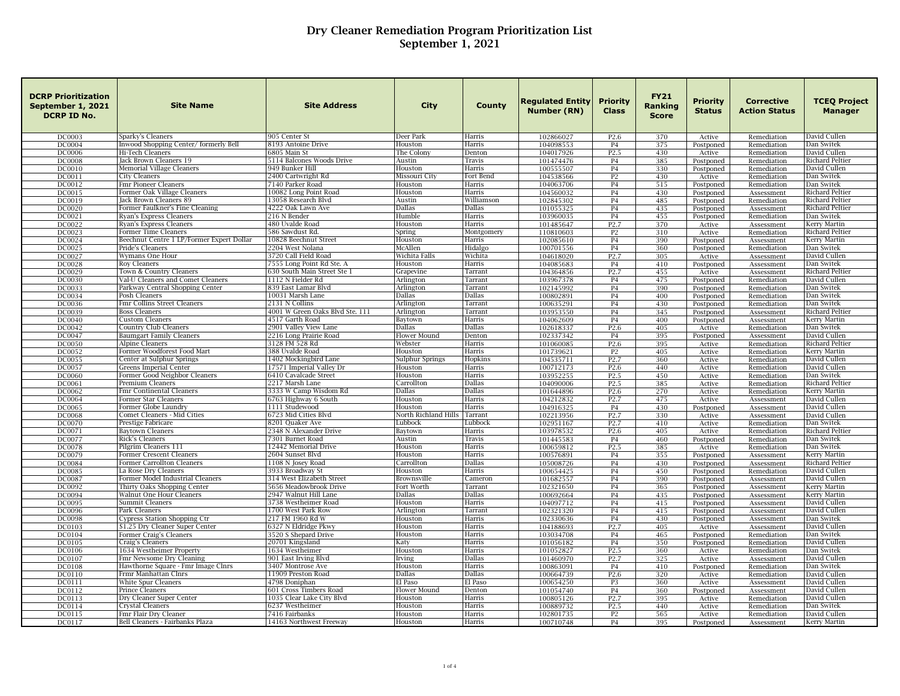| <b>DCRP Prioritization</b><br>September 1, 2021<br><b>DCRP ID No.</b> | <b>Site Name</b>                                              | <b>Site Address</b>                          | <b>City</b>             | County            | <b>Regulated Entity</b><br>Number (RN) | <b>Priority</b><br><b>Class</b>      | <b>FY21</b><br>Ranking<br><b>Score</b> | Priority<br><b>Status</b> | <b>Corrective</b><br><b>Action Status</b> | <b>TCEQ Project</b><br><b>Manager</b>  |
|-----------------------------------------------------------------------|---------------------------------------------------------------|----------------------------------------------|-------------------------|-------------------|----------------------------------------|--------------------------------------|----------------------------------------|---------------------------|-------------------------------------------|----------------------------------------|
| DC0003                                                                | Sparky's Cleaners                                             | 905 Center St                                | Deer Park               | Harris            | 102866027                              | P <sub>2.6</sub>                     | 370                                    | Active                    | Remediation                               | David Cullen                           |
| DC0004                                                                | Inwood Shopping Center/formerly Bell                          | 8193 Antoine Drive                           | Houston                 | Harris            | 104098553                              | <b>P4</b>                            | 375                                    | Postponed                 | Remediation                               | Dan Switek                             |
| <b>DC0006</b><br><b>DC0008</b>                                        | Hi-Tech Cleaners                                              | 6805 Main St<br>5114 Balcones Woods Drive    | The Colony<br>Austin    | Denton            | 104017926                              | P <sub>2.5</sub>                     | 430                                    | Active                    | Remediation                               | David Cullen                           |
| DC0010                                                                | Jack Brown Cleaners 19<br>Memorial Village Cleaners           | 949 Bunker Hill                              | Houston                 | Travis<br>Harris  | 101474476<br>100555507                 | <b>P4</b><br><b>P4</b>               | 385<br>330                             | Postponed<br>Postponed    | Remediation<br>Remediation                | Richard Peltier<br>David Cullen        |
| DC0011                                                                | City Cleaners                                                 | 2400 Cartwright Rd                           | Missouri City           | Fort Bend         | 104538566                              | P <sub>2</sub>                       | 430                                    | Active                    | Remediation                               | Dan Switek                             |
| DC0012                                                                | Fmr Pioneer Cleaners                                          | 7140 Parker Road                             | Houston                 | Harris            | 104063706                              | <b>P4</b>                            | 515                                    | Postponed                 | Remediation                               | Dan Switek                             |
| DC0015                                                                | Former Oak Village Cleaners                                   | 10082 Long Point Road                        | Houston                 | Harris            | 104560032                              | <b>P4</b>                            | 430                                    | Postponed                 | Assessment                                | <b>Richard Peltier</b>                 |
| DC0019                                                                | Jack Brown Cleaners 89                                        | 13058 Research Blvd                          | Austin                  | Williamson        | 102845302                              | <b>P4</b>                            | 485                                    | Postponed                 | Remediation                               | <b>Richard Peltier</b>                 |
| <b>DC0020</b>                                                         | Former Faulkner's Fine Cleaning                               | 4222 Oak Lawn Ave                            | Dallas                  | Dallas            | 101055325                              | <b>P4</b>                            | 435                                    | Postponed                 | Assessment                                | <b>Richard Peltier</b>                 |
| DC0021                                                                | Ryan's Express Cleaners                                       | 216 N Bender                                 | Humble                  | Harris            | 103960035                              | P <sub>4</sub>                       | 455                                    | Postponed                 | Remediation                               | Dan Switek                             |
| DC0022                                                                | Ryan's Express Cleaners                                       | 480 Uvalde Road                              | Houston                 | Harris            | 101485647                              | P <sub>2.7</sub>                     | 370                                    | Active                    | Assessment                                | <b>Kerry Martin</b>                    |
| DC0023                                                                | Former Time Cleaners                                          | 586 Sawdust Rd.                              | Spring<br>Houston       | Montgomery        | 110810603                              | P <sub>2</sub>                       | 310                                    | Active                    | Remediation                               | <b>Richard Peltier</b>                 |
| DC0024<br>DC0025                                                      | Beechnut Centre 1 LP/Former Expert Dollar<br>Pride's Cleaners | 10828 Beechnut Street<br>2204 West Nolana    | McAllen                 | Harris<br>Hidalgo | 102085610<br>100701556                 | <b>P4</b><br>P4                      | 390<br>360                             | Postponed<br>Postponed    | Assessment<br>Remediation                 | <b>Kerry Martin</b><br>Dan Switek      |
| DC0027                                                                | Wymans One Hour                                               | 3720 Call Field Road                         | Wichita Falls           | Wichita           | 104618020                              | P <sub>2.7</sub>                     | 305                                    | Active                    | Assessment                                | David Cullen                           |
| DC0028                                                                | <b>Roy Cleaners</b>                                           | 7555 Long Point Rd Ste. A                    | Houston                 | Harris            | 104085683                              | P <sub>4</sub>                       | 410                                    | Postponed                 | Assessment                                | Dan Switek                             |
| DC0029                                                                | Town & Country Cleaners                                       | 630 South Main Street Ste 1                  | Grapevine               | Tarrant           | 104364856                              | P <sub>2.7</sub>                     | 455                                    | Active                    | Assessment                                | Richard Peltier                        |
| <b>DC0030</b>                                                         | Val-U Cleaners and Comet Cleaners                             | 1112 N Fielder Rd                            | Arlington               | Tarrant           | 103967378                              | P <sub>4</sub>                       | 475                                    | Postponed                 | Remediation                               | David Cullen                           |
| DC0033                                                                | Parkway Central Shopping Center                               | 839 East Lamar Blvd                          | Arlington               | Tarrant           | 102145992                              | <b>P4</b>                            | 390                                    | Postponed                 | Remediation                               | Dan Switek                             |
| DC0034                                                                | Posh Cleaners                                                 | 10031 Marsh Lane                             | Dallas                  | Dallas            | 100802891                              | P <sub>4</sub>                       | 400                                    | Postponed                 | Remediation                               | Dan Switek                             |
| DC0036                                                                | Fmr Collins Street Cleaners                                   | 2131 N Collins                               | Arlington               | Tarrant           | 100635291                              | <b>P4</b>                            | 430                                    | Postponed                 | Remediation                               | Dan Switek                             |
| DC0039                                                                | <b>Boss Cleaners</b>                                          | 4001 W Green Oaks Blvd Ste. 111              | Arlington               | Tarrant           | 103953550                              | <b>P4</b>                            | 345                                    | Postponed                 | Assessment                                | Richard Peltier                        |
| <b>DC0040</b>                                                         | Custom Cleaners                                               | 4517 Garth Road                              | Baytown                 | Harris            | 104062609                              | P <sub>4</sub>                       | 400                                    | Postponed                 | Assessment                                | Kerry Martin                           |
| DC0042                                                                | Country Club Cleaners                                         | 2901 Valley View Lane                        | Dallas                  | Dallas            | 102618337                              | P <sub>2.6</sub>                     | 405                                    | Active                    | Remediation                               | Dan Switek                             |
| DC0047<br><b>DC0050</b>                                               | <b>Baumgart Family Cleaners</b><br>Alpine Cleaners            | 2216 Long Prairie Road<br>3128 FM 528 Rd     | Flower Mound<br>Webster | Denton<br>Harris  | 102337342<br>101060085                 | <b>P4</b><br>P <sub>2.6</sub>        | 395<br>395                             | Postponed                 | Assessment<br>Remediation                 | David Cullen<br><b>Richard Peltier</b> |
| DC0052                                                                | Former Woodforest Food Mart                                   | 388 Uvalde Road                              | Houston                 | Harris            | 101739621                              | <b>P2</b>                            | 405                                    | Active<br>Active          | Remediation                               | Kerry Martin                           |
| DC0055                                                                | Center at Sulphur Springs                                     | 1402 Mockingbird Lane                        | Sulphur Springs         | Hopkins           | 104535711                              | P <sub>2.7</sub>                     | 360                                    | Active                    | Remediation                               | David Cullen                           |
| DC0057                                                                | Greens Imperial Center                                        | 17571 Imperial Valley Dr                     | Houston                 | Harris            | 100712173                              | P <sub>2.6</sub>                     | 440                                    | Active                    | Remediation                               | David Cullen                           |
| <b>DC0060</b>                                                         | Former Good Neighbor Cleaners                                 | 6410 Cavalcade Street                        | Houston                 | Harris            | 103952255                              | P <sub>2.5</sub>                     | 450                                    | Active                    | Remediation                               | Dan Switek                             |
| DC0061                                                                | Premium Cleaners                                              | 2217 Marsh Lane                              | Carrollton              | Dallas            | 104090006                              | P <sub>2.5</sub>                     | 385                                    | Active                    | Remediation                               | <b>Richard Peltier</b>                 |
| DC0062                                                                | Fmr Continental Cleaners                                      | 3333 W Camp Wisdom Rd                        | Dallas                  | Dallas            | 101644896                              | P <sub>2.6</sub>                     | 270                                    | Active                    | Remediation                               | Kerry Martin                           |
| DC0064                                                                | Former Star Cleaners                                          | 6763 Highway 6 South                         | Houston                 | Harris            | 104212832                              | P <sub>2.7</sub>                     | 475                                    | Active                    | Assessment                                | David Cullen                           |
| DC0065                                                                | Former Globe Laundry                                          | 1111 Studewood                               | Houston                 | Harris            | 104916325                              | P4                                   | 430                                    | Postponed                 | Assessment                                | David Cullen                           |
| DC0068                                                                | Comet Cleaners - Mid Cities                                   | 6723 Mid Cities Blyd                         | North Richland Hills    | Tarrant           | 102213956                              | P <sub>2.7</sub>                     | 330                                    | Active                    | Assessment                                | David Cullen                           |
| <b>DC0070</b><br>DC0071                                               | Prestige Fabricare<br><b>Baytown Cleaners</b>                 | 8201 Quaker Ave<br>2348 N Alexander Drive    | Lubbock<br>Baytown      | Lubbock<br>Harris | 102951167<br>103978532                 | P <sub>2.7</sub><br>P <sub>2.6</sub> | 410<br>405                             | Active                    | Remediation                               | Dan Switek<br><b>Richard Peltier</b>   |
| <b>DC0077</b>                                                         | Rick's Cleaners                                               | 7301 Burnet Road                             | Austin                  | Travis            | 101445583                              | P <sub>4</sub>                       | 460                                    | Active<br>Postponed       | Remediation<br>Remediation                | Dan Switek                             |
| <b>DC0078</b>                                                         | Pilgrim Cleaners 111                                          | 12442 Memorial Drive                         | Houston                 | Harris            | 100659812                              | P <sub>2.5</sub>                     | 385                                    | Active                    | Remediation                               | Dan Switek                             |
| DC0079                                                                | Former Crescent Cleaners                                      | 2604 Sunset Blvd                             | Houston                 | Harris            | 100576891                              | <b>P4</b>                            | 355                                    | Postponed                 | Assessment                                | <b>Kerry Martin</b>                    |
| <b>DC0084</b>                                                         | Former Carrollton Cleaners                                    | 1108 N Josey Road                            | Carrolltor              | Dallas            | 105008726                              | <b>P4</b>                            | 430                                    | Postponed                 | Assessment                                | <b>Richard Peltier</b>                 |
| <b>DC0085</b>                                                         | La Rose Dry Cleaners                                          | 3933 Broadway St                             | Houston                 | Harris            | 100654425                              | <b>P4</b>                            | 450                                    | Postponed                 | Remediation                               | David Cullen                           |
| DC0087                                                                | Former Model Industrial Cleaners                              | 314 West Elizabeth Street                    | Brownsville             | Cameron           | 101682557                              | <b>P4</b>                            | 390                                    | Postponed                 | Assessment                                | David Cullen                           |
| DC0092                                                                | Thirty Oaks Shopping Center                                   | 5656 Meadowbrook Drive                       | Fort Worth              | Tarrant           | 102321650                              | P <sub>4</sub>                       | 365                                    | Postponed                 | Assessment                                | <b>Kerry Martin</b>                    |
| DC0094                                                                | Walnut One Hour Cleaners                                      | 2947 Walnut Hill Lane                        | Dallas                  | Dallas            | 100692664                              | <b>P4</b>                            | 435                                    | Postponed                 | Assessment                                | Kerry Martin                           |
| DC0095                                                                | Summit Cleaners                                               | 3738 Westheimer Road                         | Houston                 | Harris            | 104097712                              | <b>P4</b>                            | 415                                    | Postponed                 | Assessment                                | David Cullen                           |
| <b>DC0096</b>                                                         | Park Cleaners                                                 | 1700 West Park Row                           | Arlington               | Tarrant           | 102321320                              | P <sub>4</sub>                       | 415                                    | Postponed                 | Assessment                                | David Cullen                           |
| <b>DC0098</b>                                                         | Cypress Station Shopping Ctr                                  | 217 FM 1960 Rd W                             | Houston                 | Harris            | 102330636                              | <b>P4</b>                            | 430                                    | Postponed                 | Assessment                                | Dan Switek                             |
| DC0103<br>DC0104                                                      | \$1.25 Dry Cleaner Super Center<br>Former Craig's Cleaners    | 6327 N Eldridge Pkwy<br>3520 S Shepard Drive | Houston<br>Houston      | Harris<br>Harris  | 104188693<br>103034708                 | P <sub>2.7</sub><br><b>P4</b>        | 405<br>465                             | Active<br>Postponed       | Assessment<br>Remediation                 | David Cullen<br>Dan Switek             |
| <b>DC0105</b>                                                         | Craig's Cleaners                                              | 20701 Kingsland                              | Katy                    | Harris            | 101056182                              | P <sub>4</sub>                       | 350                                    | Postponed                 | Remediation                               | David Cullen                           |
| DC0106                                                                | 1634 Westheimer Property                                      | 1634 Westheimer                              | Houston                 | Harris            | 101052827                              | P <sub>2.5</sub>                     | 360                                    | Active                    | Remediation                               | Dan Switek                             |
| <b>DC0107</b>                                                         | Fmr Newsome Dry Cleaning                                      | 901 East Irving Blvd                         | Irving                  | Dallas            | 101460970                              | P <sub>2.7</sub>                     | 325                                    | Active                    | Assessment                                | David Cullen                           |
| <b>DC0108</b>                                                         | Hawthorne Square - Fmr Image Clnrs                            | 3407 Montrose Ave                            | Houston                 | Harris            | 100863091                              | <b>P4</b>                            | 410                                    | Postponed                 | Remediation                               | Dan Switek                             |
| DC0110                                                                | Frmr Manhattan Clnrs                                          | 11909 Preston Road                           | Dallas                  | Dallas            | 100664739                              | P <sub>2.6</sub>                     | 320                                    | Active                    | Remediation                               | David Cullen                           |
| DC0111                                                                | <b>White Spur Cleaners</b>                                    | 4798 Doniphan                                | El Paso                 | El Paso           | 100654250                              | <b>P3</b>                            | 360                                    | Active                    | Assessment                                | David Cullen                           |
| DC0112                                                                | Prince Cleaners                                               | 601 Cross Timbers Road                       | Flower Mound            | Denton            | 101054740                              | <b>P4</b>                            | 360                                    | Postponed                 | Assessment                                | David Cullen                           |
| DC0113                                                                | Dry Cleaner Super Center                                      | 1035 Clear Lake City Blvd                    | Houston                 | Harris            | 100805126                              | P <sub>2.7</sub>                     | 395                                    | Active                    | Remediation                               | David Cullen                           |
| DC0114                                                                | <b>Crystal Cleaners</b>                                       | 6237 Westheimer                              | Houston                 | Harris            | 100889732                              | P <sub>2.5</sub>                     | 440                                    | Active                    | Remediation                               | Dan Switek                             |
| DC0115                                                                | Fmr Flair Dry Cleaner                                         | 7416 Fairbanks                               | Houston                 | Harris            | 102801735                              | P <sub>2</sub>                       | 565                                    | Active                    | Remediation                               | David Cullen                           |
| DC0117                                                                | Bell Cleaners - Fairbanks Plaza                               | 14163 Northwest Freeway                      | Houston                 | Harris            | 100710748                              | <b>P4</b>                            | 395                                    | Postponed                 | Assessment                                | Kerry Martin                           |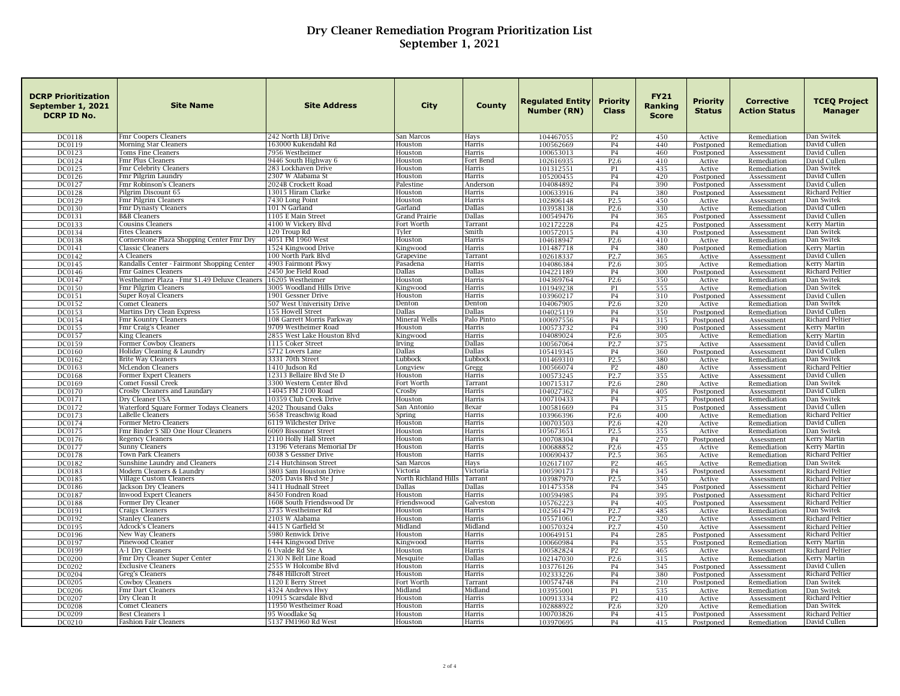| <b>DCRP Prioritization</b><br>September 1, 2021<br><b>DCRP ID No.</b> | <b>Site Name</b>                                  | <b>Site Address</b>                                | City                  | <b>County</b>      | Regulated Entity<br>Number (RN) | Priority<br><b>Class</b>             | <b>FY21</b><br>Ranking<br><b>Score</b> | Priority<br><b>Status</b> | <b>Corrective</b><br><b>Action Status</b> | <b>TCEQ Project</b><br><b>Manager</b>  |
|-----------------------------------------------------------------------|---------------------------------------------------|----------------------------------------------------|-----------------------|--------------------|---------------------------------|--------------------------------------|----------------------------------------|---------------------------|-------------------------------------------|----------------------------------------|
| DC0118                                                                | Fmr Coopers Cleaners                              | 242 North LBJ Drive                                | San Marcos            | Hays               | 104467055                       | P <sub>2</sub>                       | 450                                    | Active                    | Remediation                               | Dan Switek                             |
| DC0119                                                                | Morning Star Cleaners                             | 163000 Kukendahl Rd                                | Houston               | Harris             | 100562669                       | P <sub>4</sub>                       | 440                                    | Postponed                 | Remediation                               | David Cullen                           |
| DC0123                                                                | Toms Fine Cleaners                                | 7956 Westheimer                                    | Houston               | Harris             | 100653013                       | <b>P4</b>                            | 460                                    | Postponed                 | Assessment                                | David Cullen                           |
| DC0124                                                                | Fmr Plus Cleaners                                 | 9446 South Highway 6                               | Houston               | Fort Bend          | 102616935                       | P <sub>2.6</sub>                     | 410                                    | Active                    | Remediation                               | David Cullen                           |
| <b>DC0125</b>                                                         | Fmr Celebrity Cleaners                            | 283 Lockhaven Drive                                | Houston               | Harris             | 101312551                       | P1                                   | 435                                    | Active                    | Remediation                               | Dan Switek                             |
| DC0126<br>DC0127                                                      | Fmr Pilgrim Laundry<br>Fmr Robinson's Cleaners    | 2307 W Alabama St<br>2024B Crockett Road           | Houston<br>Palestine  | Harris<br>Anderson | 105200455<br>104084892          | P <sub>4</sub><br><b>P4</b>          | 420<br>390                             | Postponed<br>Postponed    | Assessment                                | David Cullen<br>David Cullen           |
| <b>DC0128</b>                                                         | Pilgrim Discount 65                               | 13015 Hiram Clarke                                 | Houston               | Harris             | 100633916                       | <b>P4</b>                            | 380                                    | Postponed                 | Assessment<br>Assessment                  | Richard Peltier                        |
| DC0129                                                                | Fmr Pilgrim Cleaners                              | 7430 Long Point                                    | Houston               | Harris             | 102806148                       | P <sub>2.5</sub>                     | 450                                    | Active                    | Assessment                                | Dan Switek                             |
| DC0130                                                                | Fmr Dynasty Cleaners                              | 101 N Garland                                      | Garland               | Dallas             | 103958138                       | P <sub>2.6</sub>                     | 330                                    | Active                    | Remediation                               | David Cullen                           |
| DC0131                                                                | <b>B&amp;B Cleaners</b>                           | 1105 E Main Street                                 | Grand Prairie         | Dallas             | 100549476                       | <b>P4</b>                            | 365                                    | Postponed                 | Assessment                                | David Cullen                           |
| DC0133                                                                | Cousins Cleaners                                  | 4100 W Vickerv Blvd                                | Fort Worth            | Tarrant            | 102172228                       | <b>P4</b>                            | 425                                    | Postponed                 | Assessment                                | Kerry Martin                           |
| DC0134                                                                | <b>Fites Cleaners</b>                             | 120 Troup Rd                                       | Tyler                 | Smith              | 100572015                       | <b>P4</b>                            | 430                                    | Postponed                 | Assessment                                | Dan Switek                             |
| DC0138                                                                | Cornerstone Plaza Shopping Center Fmr Dry         | 4051 FM 1960 West                                  | Houston               | Harris             | 104618947                       | P <sub>2.6</sub>                     | 410                                    | Active                    | Remediation                               | Dan Switek                             |
| DC0141                                                                | Classic Cleaners                                  | 1524 Kingwood Drive                                | Kingwood              | Harris             | 101487718                       | <b>P4</b>                            | 380                                    | Postponed                 | Remediation                               | Kerry Martin                           |
| DC0142                                                                | A Cleaners                                        | 100 North Park Blvd                                | Grapevine             | Tarrant            | 102618337                       | P <sub>2.7</sub>                     | 365                                    | Active                    | Assessment                                | David Cullen                           |
| DC0145                                                                | Randalls Center - Fairmont Shopping Center        | 4903 Fairmont Pkwy                                 | Pasadena              | Harris             | 104086384                       | P <sub>2.6</sub>                     | 305                                    | Active                    | Remediation                               | Kerry Martin                           |
| DC0146                                                                | Fmr Gaines Cleaners                               | 2450 Joe Field Road                                | Dallas                | Dallas             | 104221189                       | <b>P4</b>                            | 300                                    | Postponed                 | Assessment                                | Richard Peltier                        |
| DC0147                                                                | Westheimer Plaza - Fmr \$1.49 Deluxe Cleaners     | 16205 Westheimer                                   | Houston               | Harris             | 104369764                       | P <sub>2.6</sub>                     | 350                                    | Active                    | Remediation                               | Dan Switek                             |
| <b>DC0150</b>                                                         | Fmr Pilgrim Cleaners                              | 3005 Woodland Hills Drive                          | Kingwood              | Harris             | 101949238                       | P1                                   | 555                                    | Active                    | Remediation                               | Dan Switek                             |
| DC0151                                                                | Super Royal Cleaners                              | 1901 Gessner Drive                                 | Houston               | Harris             | 103960217                       | <b>P4</b>                            | 310                                    | Postponed                 | Assessment                                | David Cullen                           |
| DC0152                                                                | Comet Cleaners                                    | 507 West Univerisity Drive                         | Denton<br>Dallas      | Denton<br>Dallas   | 104067905                       | P <sub>2.6</sub>                     | 320                                    | Active                    | Remediation                               | Dan Switek                             |
| DC0153<br><b>DC0154</b>                                               | Martins Dry Clean Express<br>Fmr Kountry Cleaners | 155 Howell Street<br>108 Garrett Morris Parkway    | Mineral Wells         | Palo Pinto         | 104025119<br>100697556          | <b>P4</b><br><b>P4</b>               | 350<br>315                             | Postponed                 | Remediation                               | David Cullen<br>Richard Peltier        |
| DC0155                                                                | Fmr Craig's Cleaner                               | 9709 Westheimer Road                               | Houston               | Harris             | 100573732                       | <b>P4</b>                            | 390                                    | Postponed                 | Assessment<br>Assessment                  | Kerry Martin                           |
| DC0157                                                                | <b>King Cleaners</b>                              | 2855 West Lake Houston Blvd                        | Kingwood              | Harris             | 104089024                       | P <sub>2.6</sub>                     | 305                                    | Postponed<br>Active       | Remediation                               | <b>Kerry Martin</b>                    |
| DC0159                                                                | Former Cowboy Cleaners                            | 1115 Coker Street                                  | Irving                | Dallas             | 100567064                       | P <sub>2.7</sub>                     | 375                                    | Active                    | Assessment                                | David Cullen                           |
| DC0160                                                                | Holiday Cleaning & Laundry                        | 5712 Lovers Lane                                   | Dallas                | Dallas             | 105419345                       | <b>P4</b>                            | 360                                    | Postponed                 | Assessment                                | David Cullen                           |
| DC0162                                                                | <b>Brite Way Cleaners</b>                         | 3331 70th Street                                   | Lubbock               | Lubbock            | 101469310                       | P <sub>2.5</sub>                     | 380                                    | Active                    | Remediation                               | Dan Switek                             |
| DC0163                                                                | McLendon Cleaners                                 | 1410 Judson Rd                                     | Longview              | Gregg              | 100566074                       | P <sub>2</sub>                       | 480                                    | Active                    | Assessment                                | Richard Peltier                        |
| DC0168                                                                | Former Expert Cleaners                            | 12313 Bellaire Blvd Ste D                          | Houston               | Harris             | 100573245                       | P <sub>2.7</sub>                     | 355                                    | Active                    | Assessment                                | David Cullen                           |
| DC0169                                                                | Comet Fossil Creek                                | 3300 Western Center Blvd                           | Fort Worth            | Tarrant            | 100715317                       | P <sub>2.6</sub>                     | 280                                    | Active                    | Remediation                               | Dan Switek                             |
| <b>DC0170</b>                                                         | Crosby Cleaners and Laundary                      | 14045 FM 2100 Road                                 | Crosby                | Harris             | 104027362                       | <b>P4</b>                            | 405                                    | Postponed                 | Assessment                                | David Cullen                           |
| <b>DC0171</b>                                                         | Dry Cleaner USA                                   | 10359 Club Creek Drive                             | Houston               | Harris             | 100710433                       | P <sub>4</sub>                       | 375                                    | Postponed                 | Remediation                               | Dan Switek                             |
| DC0172                                                                | Waterford Square Former Todays Cleaners           | 4202 Thousand Oaks                                 | San Antonio           | Bexar              | 100581669                       | <b>P4</b>                            | 315                                    | Postponed                 | Assessment                                | David Cullen                           |
| DC0173                                                                | LaBelle Cleaners                                  | 5658 Treaschwig Road                               | Spring                | Harris             | 103966396                       | P <sub>2.6</sub>                     | 400                                    | Active                    | Remediation                               | Richard Peltier                        |
| DC0174                                                                | Former Metro Cleaners                             | 6119 Wilchester Drive                              | Houston               | Harris             | 100703503                       | P <sub>2.6</sub>                     | 420                                    | Active                    | Remediation                               | David Cullen                           |
| <b>DC0175</b>                                                         | Fmr Binder S SID One Hour Cleaners                | 6069 Bissonnet Street                              | Houston               | Harris             | 105673651                       | P <sub>2.5</sub>                     | 355                                    | Active                    | Remediation                               | Dan Switek                             |
| DC0176                                                                | Regency Cleaners                                  | 2110 Holly Hall Street                             | Houston               | Harris             | 100708304                       | <b>P4</b>                            | 270                                    | Postponed                 | Assessment                                | Kerry Martin                           |
| DC0177<br><b>DC0178</b>                                               | Sunny Cleaners<br>Town Park Cleaners              | 13196 Veterans Memorial Dr<br>6038 S Gessner Drive | Houston<br>Houston    | Harris<br>Harris   | 100688852<br>100690437          | P <sub>2.6</sub><br>P <sub>2.5</sub> | 455<br>365                             | Active<br>Active          | Remediation<br>Remediation                | Kerry Martin<br><b>Richard Peltier</b> |
| DC0182                                                                | Sunshine Laundry and Cleaners                     | 214 Hutchinson Street                              | San Marcos            | Hays               | 102617107                       | P <sub>2</sub>                       | 465                                    | Active                    | Remediation                               | Dan Switek                             |
| DC0183                                                                | Modern Cleaners & Laundry                         | 3803 Sam Houston Drive                             | Victoria              | Victoria           | 100590173                       | <b>P4</b>                            | 345                                    | Postponed                 | Assessment                                | <b>Richard Peltier</b>                 |
| <b>DC0185</b>                                                         | <b>Village Custom Cleaners</b>                    | 5205 Davis Blvd Ste                                | North Richland Hills  | Tarrant            | 103987970                       | P <sub>2.5</sub>                     | 350                                    | Active                    | Assessment                                | Richard Peltier                        |
| DC0186                                                                | Jackson Dry Cleaners                              | 3411 Hudnall Street                                | Dallas                | Dallas             | 101475358                       | <b>P4</b>                            | 345                                    | Postponed                 | Assessment                                | <b>Richard Peltier</b>                 |
| <b>DC0187</b>                                                         | Inwood Expert Cleaners                            | 8450 Fondren Road                                  | Houston               | Harris             | 100594985                       | <b>P4</b>                            | 395                                    | Postponed                 | Assessment                                | Richard Peltier                        |
| <b>DC0188</b>                                                         | Former Dry Cleaner                                | 1608 South Friendswood Dr                          | Friendswood           | Galveston          | 105762223                       | <b>P4</b>                            | 405                                    | Postponed                 | Assessment                                | Richard Peltier                        |
| DC0191                                                                | Craigs Cleaners                                   | 3735 Westheimer Rd                                 | Houston               | Harris             | 102561479                       | P <sub>2.7</sub>                     | 485                                    | Active                    | Remediation                               | Dan Switek                             |
| DC0192                                                                | Stanley Cleaners                                  | 103 W Alabama                                      | Houston               | Harris             | 105571061                       | P <sub>2.7</sub>                     | 320                                    | Active                    | Assessment                                | Richard Peltier                        |
| DC0195                                                                | <b>Adcock's Cleaners</b>                          | 4415 N Garfield St                                 | Midland               | Midland            | 100570324                       | P <sub>2.7</sub>                     | 450                                    | Active                    | Assessment                                | <b>Richard Peltier</b>                 |
| DC0196                                                                | New Way Cleaners                                  | 5980 Renwick Drive                                 | Houston               | Harris             | 100649151                       | <b>P4</b>                            | 285                                    | Postponed                 | Assessment                                | <b>Richard Peltier</b>                 |
| DC0197                                                                | Pinewood Cleaner                                  | 1444 Kingwood Drive                                | Kingwood              | Harris             | 100660984                       | <b>P4</b>                            | 355                                    | Postponed                 | Remediation                               | Kerry Martin                           |
| DC0199                                                                | A-1 Dry Cleaners                                  | 6 Uvalde Rd Ste A                                  | Houston               | Harris             | 100582824                       | P <sub>2</sub>                       | 465                                    | Active                    | Assessment                                | <b>Richard Peltier</b>                 |
| DC0200                                                                | Fmr Dry Cleaner Super Center                      | 2130 N Belt Line Road                              | Mesquite              | Dallas             | 102147030                       | P <sub>2.6</sub>                     | 315                                    | Active                    | Remediation                               | Kerry Martin                           |
| DC0202                                                                | Exclusive Cleaners                                | 2555 W Holcombe Blvd                               | Houston               | Harris             | 103776126                       | <b>P4</b>                            | 345                                    | Postponed                 | Assessment                                | David Cullen                           |
| DC0204                                                                | Greg's Cleaners                                   | 7848 Hillcroft Street                              | Houston               | Harris             | 102333226                       | P <sub>4</sub>                       | 380                                    | Postponed                 | Assessment                                | Richard Peltier                        |
| DC0205<br>DC0206                                                      | Cowboy Cleaners<br>Fmr Dart Cleaners              | 1120 E Berry Street<br>4324 Andrews Hwy            | Fort Worth<br>Midland | Tarrant<br>Midland | 100574748<br>103955001          | P4<br>P <sub>1</sub>                 | 210                                    | Postponed                 | Remediation                               | Dan Switek<br>Dan Switek               |
| DC0207                                                                | Dry Clean It                                      | 10915 Scarsdale Blvd                               | Houston               | Harris             | 100913334                       | P <sub>2</sub>                       | 535<br>410                             | Active                    | Remediation                               | Richard Peltier                        |
| <b>DC0208</b>                                                         | Comet Cleaners                                    | 11950 Westheimer Road                              | Houston               | Harris             | 102888922                       | P <sub>2.6</sub>                     | 320                                    | Active<br>Active          | Assessment<br>Remediation                 | Dan Switek                             |
| DC0209                                                                | Best Cleaners 1                                   | 95 Woodlake Sq                                     | Houston               | Harris             | 100703826                       | <b>P4</b>                            | 415                                    | Postponed                 | Assessment                                | Richard Peltier                        |
| DC0210                                                                | <b>Fashion Fair Cleaners</b>                      | 5137 FM1960 Rd West                                | Houston               | Harris             | 103970695                       | <b>P4</b>                            | 415                                    | Postponed                 | Remediation                               | David Cullen                           |
|                                                                       |                                                   |                                                    |                       |                    |                                 |                                      |                                        |                           |                                           |                                        |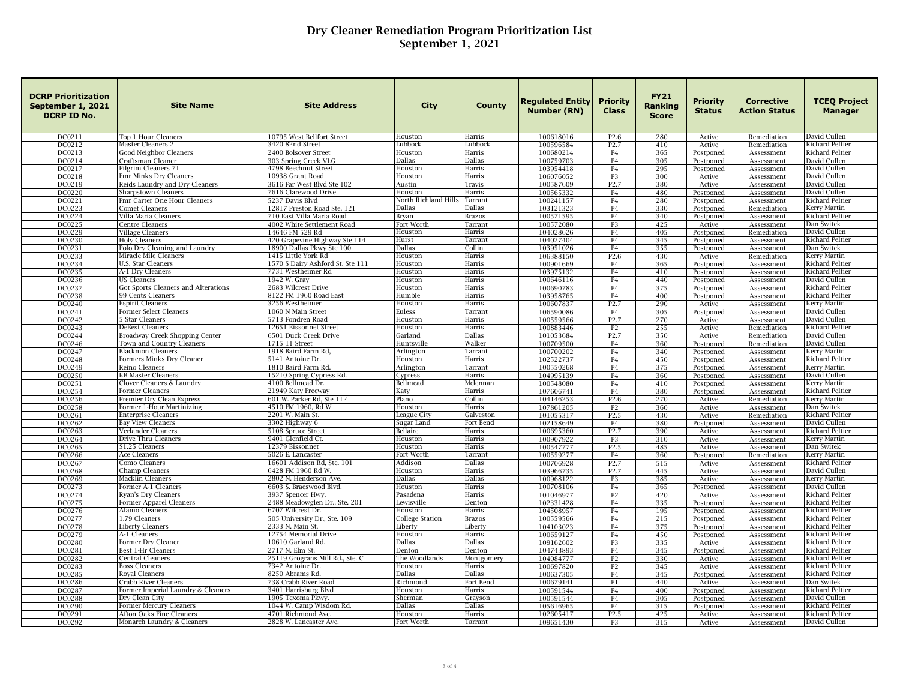| <b>DCRP Prioritization</b><br>September 1, 2021<br>DCRP ID No. | <b>Site Name</b>                                            | <b>Site Address</b>                                        | <b>City</b>              | County              | <b>Regulated Entity</b><br>Number (RN) | <b>Priority</b><br><b>Class</b> | <b>FY21</b><br>Ranking<br><b>Score</b> | Priority<br><b>Status</b> | <b>Corrective</b><br><b>Action Status</b> | <b>TCEQ Project</b><br><b>Manager</b> |
|----------------------------------------------------------------|-------------------------------------------------------------|------------------------------------------------------------|--------------------------|---------------------|----------------------------------------|---------------------------------|----------------------------------------|---------------------------|-------------------------------------------|---------------------------------------|
| DC0211                                                         | Top 1 Hour Cleaners                                         | 10795 West Bellfort Street                                 | Houston                  | Harris              | 100618016                              | P <sub>2.6</sub>                | 280                                    | Active                    | Remediation                               | David Cullen                          |
| DC0212                                                         | Master Cleaners 2                                           | 3420 82nd Street                                           | Lubbock                  | Lubbocl             | 100596584                              | P <sub>2.7</sub>                | 410                                    | Active                    | Remediation                               | <b>Richard Peltier</b>                |
| DC0213                                                         | <b>Good Neighbor Cleaners</b>                               | 2400 Bolsover Street                                       | Houston<br><b>Dallas</b> | Harris<br>Dallas    | 100680214                              | <b>P4</b>                       | 365                                    | Postponed                 | Assessment                                | <b>Richard Peltier</b>                |
| DC0214<br>DC0217                                               | Craftsman Cleaner<br>Pilgrim Cleaners 71                    | 303 Spring Creek VLG<br>4798 Beechnut Street               | Houston                  | Harris              | 100759703<br>103954418                 | <b>P4</b><br><b>P4</b>          | 305<br>295                             | Postponed<br>Postponed    | Assessment<br>Assessment                  | David Cullen<br>David Cullen          |
| DC0218                                                         | Fmr Minks Dry Cleaners                                      | 10938 Grant Road                                           | Houston                  | Harris              | 106076052                              | P <sub>3</sub>                  | 300                                    | Active                    | Assessment                                | David Cullen                          |
| DC0219                                                         | Reids Laundry and Dry Cleaners                              | 3616 Far West Blvd Ste 102                                 | Austin                   | Travis              | 100587609                              | P <sub>2.7</sub>                | 380                                    | Active                    | Assessment                                | David Cullen                          |
| DC0220                                                         | <b>Sharpstown Cleaners</b>                                  | 7616 Clarewood Drive                                       | Houston                  | Harris              | 100565332                              | <b>P4</b>                       | 480                                    | Postponed                 | Assessment                                | David Cullen                          |
| DC0221                                                         | Fmr Carter One Hour Cleaners                                | 5237 Davis Blvd                                            | North Richland Hills     | Tarrant             | 100241157                              | <b>P4</b>                       | 280                                    | Postponed                 | Assessment                                | <b>Richard Peltier</b>                |
| DC0223                                                         | <b>Comet Cleaners</b>                                       | 12817 Preston Road Ste. 121                                | Dallas                   | Dallas              | 103121323                              | <b>P4</b>                       | 330                                    | Postponed                 | Remediation                               | Kerry Martin                          |
| DC0224                                                         | Villa Maria Cleaners                                        | 710 East Villa Maria Road                                  | Bryan                    | <b>Brazos</b>       | 100571595                              | P <sub>4</sub>                  | 340                                    | Postponed                 | Assessment                                | Richard Peltier                       |
| DC0225                                                         | <b>Centre Cleaners</b>                                      | 4002 White Settlement Road                                 | Fort Worth               | Tarrant             | 100572080                              | P <sub>3</sub>                  | 425                                    | Active                    | Assessment                                | Dan Switek                            |
| DC0229                                                         | Village Cleaners                                            | 14646 FM 529 Rd                                            | Houston<br>Hurst         | Harris              | 104028626                              | <b>P4</b>                       | 405                                    | Postponed                 | Remediation                               | David Cullen                          |
| DC0230<br>DC0231                                               | <b>Holy Cleaners</b><br>Polo Dry Cleaning and Laundry       | 420 Grapevine Highway Ste 114<br>18900 Dallas Pkwy Ste 100 | Dallas                   | Tarrant<br>Collin   | 104027404<br>103951026                 | <b>P4</b><br>P4                 | 345<br>355                             | Postponed<br>Postponed    | Assessment<br>Assessment                  | Richard Peltier<br>Dan Switek         |
| DC0233                                                         | Miracle Mile Cleaners                                       | 1415 Little York Rd                                        | Houston                  | Harris              | 106388150                              | P <sub>2.6</sub>                | 430                                    | Active                    | Remediation                               | Kerry Martin                          |
| DC0234                                                         | U.S. Star Cleaners                                          | 1570 S Dairy Ashford St. Ste 111                           | Houston                  | Harris              | 100901669                              | P <sub>4</sub>                  | 365                                    | Postponed                 | Assessment                                | Richard Peltier                       |
| DC0235                                                         | A-1 Dry Cleaners                                            | 7731 Westheimer Rd                                         | Houston                  | Harris              | 103975132                              | P <sub>4</sub>                  | 410                                    | Postponed                 | Assessment                                | Richard Peltier                       |
| DC0236                                                         | <b>US Cleaners</b>                                          | 1942 W. Gray                                               | Houston                  | Harris              | 100646116                              | P <sub>4</sub>                  | 440                                    | Postponed                 | Assessment                                | David Cullen                          |
| DC0237                                                         | Got Sports Cleaners and Alterations                         | 2683 Wilcrest Drive                                        | Houston                  | Harris              | 100690783                              | <b>P4</b>                       | 375                                    | Postponed                 | Assessment                                | <b>Richard Peltier</b>                |
| DC0238                                                         | 99 Cents Cleaners                                           | 8122 FM 1960 Road East                                     | Humble                   | Harris              | 103958765                              | P <sub>4</sub>                  | 400                                    | Postponed                 | Assessment                                | Richard Peltier                       |
| DC0240                                                         | <b>Espirit Cleaners</b>                                     | 3256 Westheimer                                            | Houston                  | Harris              | 100607837                              | P <sub>2.7</sub>                | 290                                    | Active                    | Assessment                                | <b>Kerry Martin</b>                   |
| DC0241                                                         | Former Select Cleaners                                      | 1060 N Main Street                                         | Euless                   | Tarrant             | 106590086                              | <b>P4</b>                       | 305                                    | Postponed                 | Assessment                                | David Cullen                          |
| DC0242                                                         | Star Cleaners                                               | 5713 Fondren Road                                          | Houston                  | Harris              | 100559566                              | P <sub>2.7</sub>                | 270                                    | Active                    | Assessment                                | David Cullen                          |
| DC0243                                                         | <b>DeBest Cleaners</b>                                      | 12651 Bissonnet Street                                     | Houston                  | Harris              | 100883446                              | P <sub>2</sub>                  | 255                                    | Active                    | Remediation                               | Richard Peltier                       |
| DC0244<br>DC0246                                               | Broadway Creek Shopping Center<br>Town and Country Cleaners | 6501 Duck Creek Drive<br>1715 11 Street                    | Garland<br>Huntsville    | Dallas<br>Walker    | 101053684<br>100709500                 | P <sub>2.7</sub><br><b>P4</b>   | 350<br>360                             | Active<br>Postponed       | Remediation<br>Remediation                | David Cullen<br>David Cullen          |
| DC0247                                                         | <b>Blackmon Cleaners</b>                                    | 1918 Baird Farm Rd,                                        | Arlington                | Tarrant             | 100700202                              | <b>P4</b>                       | 340                                    | Postponed                 | Assessment                                | Kerry Martin                          |
| DC0248                                                         | Formers Minks Dry Cleaner                                   | 5141 Antoine Dr.                                           | Houston                  | Harris              | 102522737                              | P <sub>4</sub>                  | 450                                    | Postponed                 | Assessment                                | Richard Peltier                       |
| DC0249                                                         | Reino Cleaners                                              | 1810 Baird Farm Rd.                                        | Arlingtor                | Tarrant             | 100550268                              | <b>P4</b>                       | 375                                    | Postponed                 | Assessment                                | <b>Kerry Martin</b>                   |
| DC0250                                                         | <b>KB Master Cleaners</b>                                   | 15210 Spring Cypress Rd.                                   | Cypress                  | Harris              | 104995139                              | <b>P4</b>                       | 360                                    | Postponed                 | Assessment                                | David Cullen                          |
| DC0251                                                         | Clover Cleaners & Laundry                                   | 4100 Bellmead Dr.                                          | Bellmead                 | Mclennan            | 100548080                              | P <sub>4</sub>                  | 410                                    | Postponed                 | Assessment                                | Kerry Martin                          |
| DC0254                                                         | Former Cleaners                                             | 21949 Katy Freeway                                         | Katy                     | Harris              | 107606741                              | <b>P4</b>                       | 380                                    | Postponed                 | Assessment                                | <b>Richard Peltier</b>                |
| DC0256                                                         | Premier Dry Clean Express                                   | 601 W. Parker Rd. Ste 112                                  | Plano                    | Collin              | 104146253                              | P <sub>2.6</sub>                | 270                                    | Active                    | Remediation                               | Kerry Martin                          |
| DC0258                                                         | Former 1-Hour Martinizing                                   | 4510 FM 1960, Rd W                                         | Houston                  | Harris              | 107861205                              | P2                              | 360                                    | Active                    | Assessment                                | Dan Switek                            |
| DC0261                                                         | <b>Enterprise Cleaners</b>                                  | 2201 W. Main St.                                           | League City              | Galveston           | 101055317                              | P <sub>2.5</sub>                | 430                                    | Active                    | Remediation                               | <b>Richard Peltier</b>                |
| DC0262<br>DC0263                                               | <b>Bay View Cleaners</b><br>Verlander Cleaners              | 3302 Highway 6<br>5108 Spruce Street                       | Sugar Land<br>Bellaire   | Fort Bend<br>Harris | 102158649<br>100695360                 | <b>P4</b><br>P <sub>2.7</sub>   | 380<br>390                             | Postponed                 | Assessment                                | David Cullen<br>Richard Peltier       |
| DC0264                                                         | Drive Thru Cleaners                                         | 9401 Glenfield Ct.                                         | Houston                  | Harris              | 100907922                              | P <sub>3</sub>                  | 310                                    | Active<br>Active          | Assessment<br>Assessment                  | Kerry Martin                          |
| DC0265                                                         | \$1.25 Cleaners                                             | 12379 Bissonnet                                            | Houston                  | Harris              | 100547777                              | P <sub>2.5</sub>                | 485                                    | Active                    | Assessment                                | Dan Switek                            |
| DC0266                                                         | Ace Cleaners                                                | 5026 E. Lancaster                                          | Fort Worth               | Tarrant             | 100559277                              | <b>P4</b>                       | 360                                    | Postponed                 | Remediation                               | <b>Kerry Martin</b>                   |
| DC0267                                                         | Como Cleaners                                               | 16601 Addison Rd, Ste. 101                                 | Addison                  | Dallas              | 100706928                              | P2.7                            | 515                                    | Active                    | Assessment                                | <b>Richard Peltier</b>                |
| <b>DC0268</b>                                                  | Champ Cleaners                                              | 6428 FM 1960 Rd W.                                         | Houston                  | Harris              | 103966735                              | P <sub>2.7</sub>                | 445                                    | Active                    | Assessment                                | David Cullen                          |
| DC0269                                                         | Macklin Cleaners                                            | 2802 N. Henderson Ave.                                     | <b>Dallas</b>            | Dallas              | 100968122                              | P <sub>3</sub>                  | 385                                    | Active                    | Assessment                                | Kerry Martin                          |
| DC0273                                                         | Former A-1 Cleaners                                         | 6603 S. Braeswood Blvd.                                    | Houston                  | Harris              | 100708106                              | P <sub>4</sub>                  | 365                                    | Postponed                 | Assessment                                | David Cullen                          |
| DC0274                                                         | Ryan's Dry Cleaners                                         | 3937 Spencer Hwy.                                          | Pasadena                 | Harris              | 101046977                              | P <sub>2</sub>                  | 420                                    | Active                    | Assessment                                | Richard Peltier                       |
| DC0275                                                         | Former Apparel Cleaners                                     | 2488 Meadowglen Dr., Ste. 201                              | Lewisville               | Denton              | 102331428                              | <b>P4</b>                       | 335                                    | Postponed                 | Assessment                                | <b>Richard Peltier</b>                |
| DC0276                                                         | <b>Alamo Cleaners</b>                                       | 6707 Wilcrest Dr.                                          | Houston                  | Harris              | 104508957                              | P <sub>4</sub>                  | 195                                    | Postponed                 | Assessment                                | Richard Peltier                       |
| DC0277                                                         | 1.79 Cleaners                                               | 505 University Dr., Ste. 109                               | College Station          | Brazos              | 100559566                              | <b>P4</b>                       | 215                                    | Postponed                 | Assessment                                | Richard Peltier                       |
| DC0278<br>DC0279                                               | <b>Liberty Cleaners</b><br>A-1 Cleaners                     | 2333 N. Main St.<br>12754 Memorial Drive                   | Liberty<br>Houston       | Liberty<br>Harris   | 104103023<br>100659127                 | P <sub>4</sub><br><b>P4</b>     | 375<br>450                             | Postponed<br>Postponed    | Assessment<br>Assessment                  | Richard Peltier<br>Richard Peltier    |
| DC0280                                                         | Former Dry Cleaner                                          | 10610 Garland Rd.                                          | <b>Dallas</b>            | <b>Dallas</b>       | 109162602                              | P <sub>3</sub>                  | 335                                    | Active                    | Assessment                                | <b>Richard Peltier</b>                |
| DC0281                                                         | Best 1-Hr Cleaners                                          | 2717 N. Elm St.                                            | Denton                   | Denton              | 104743893                              | P <sub>4</sub>                  | 345                                    | Postponed                 | Assessment                                | <b>Richard Peltier</b>                |
| DC0282                                                         | Central Cleaners                                            | 25119 Grograns Mill Rd., Ste. C                            | The Woodlands            | Montgomery          | 104084777                              | P <sub>2</sub>                  | 330                                    | Active                    | Assessment                                | <b>Richard Peltier</b>                |
| DC0283                                                         | <b>Boss Cleaners</b>                                        | 7342 Antoine Dr.                                           | Houston                  | Harris              | 100697820                              | P <sub>2</sub>                  | 345                                    | Active                    | Assessment                                | <b>Richard Peltier</b>                |
| DC0285                                                         | <b>Royal Cleaners</b>                                       | 8250 Abrams Rd.                                            | Dallas                   | Dallas              | 100637305                              | P <sub>4</sub>                  | 345                                    | Postponed                 | Assessment                                | <b>Richard Peltier</b>                |
| DC0286                                                         | Crabb River Cleaners                                        | 738 Crabb River Road                                       | Richmond                 | Fort Bend           | 100679141                              | P <sub>1</sub>                  | 440                                    | Active                    | Assessment                                | Dan Switek                            |
| DC0287                                                         | Former Imperial Laundry & Cleaners                          | 3401 Harrisburg Blvd                                       | Houston                  | Harris              | 100591544                              | P <sub>4</sub>                  | 400                                    | Postponed                 | Assessment                                | Richard Peltier                       |
| <b>DC0288</b>                                                  | Dry Clean City                                              | 1905 Texoma Pkwy                                           | Sherman                  | Grayson             | 100591544                              | P <sub>4</sub>                  | 305                                    | Postponed                 | Assessment                                | David Cullen                          |
| DC0290                                                         | Former Mercury Cleaners                                     | 1044 W. Camp Wisdom Rd.                                    | Dallas                   | Dallas              | 105616965                              | <b>P4</b>                       | 315                                    | Postponed                 | Assessment                                | <b>Richard Peltier</b>                |
| DC0291                                                         | Afton Oaks Fine Cleaners                                    | 4701 Richmond Ave.                                         | Houston                  | Harris              | 102605417                              | P <sub>2.5</sub>                | 425                                    | Active                    | Assessment                                | <b>Richard Peltier</b>                |
| DC0292                                                         | Monarch Laundry & Cleaners                                  | 2828 W. Lancaster Ave.                                     | Fort Worth               | Tarrant             | 109651430                              | P3                              | 315                                    | Active                    | Assessment                                | David Cullen                          |